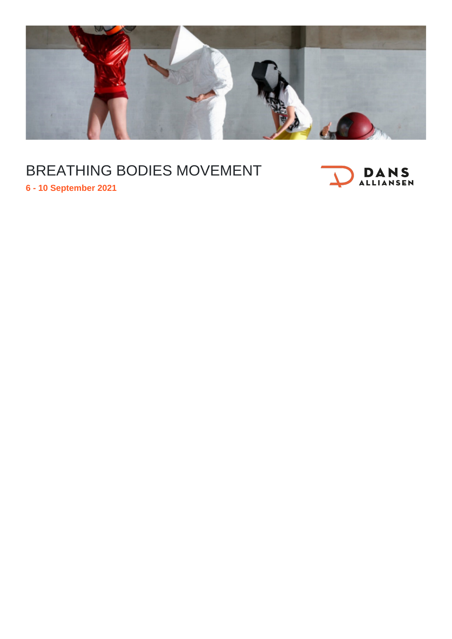

## BREATHING BODIES MOVEMENT



**6 - 10 September 2021**